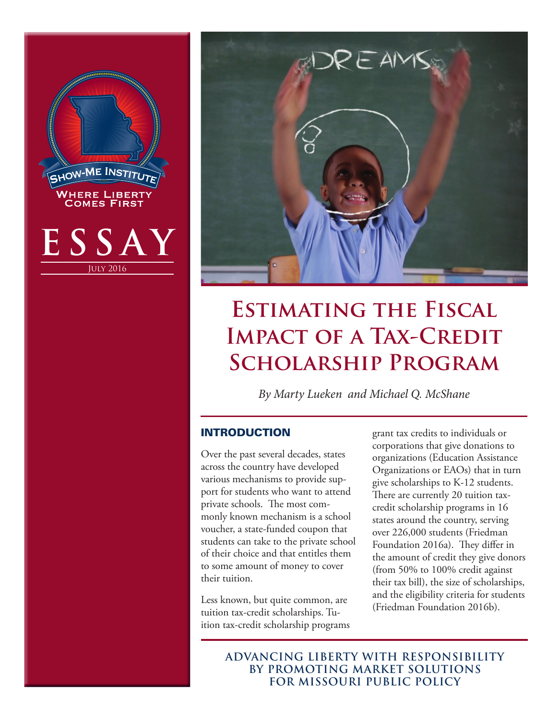



# **Estimating the Fiscal IMPACT OF A TAX-CREDIT Scholarship Program**

*By Marty Lueken and Michael Q. McShane*

# INTRODUCTION

Over the past several decades, states across the country have developed various mechanisms to provide support for students who want to attend private schools. The most commonly known mechanism is a school voucher, a state-funded coupon that students can take to the private school of their choice and that entitles them to some amount of money to cover their tuition.

Less known, but quite common, are tuition tax-credit scholarships. Tuition tax-credit scholarship programs grant tax credits to individuals or corporations that give donations to organizations (Education Assistance Organizations or EAOs) that in turn give scholarships to K-12 students. There are currently 20 tuition taxcredit scholarship programs in 16 states around the country, serving over 226,000 students (Friedman Foundation 2016a). They differ in the amount of credit they give donors (from 50% to 100% credit against their tax bill), the size of scholarships, and the eligibility criteria for students (Friedman Foundation 2016b).

**ADVANCING LIBERTY WITH RESPONSIBILITY BY PROMOTING MARKET SOLUTIONS FOR MISSOURI PUBLIC POLICY**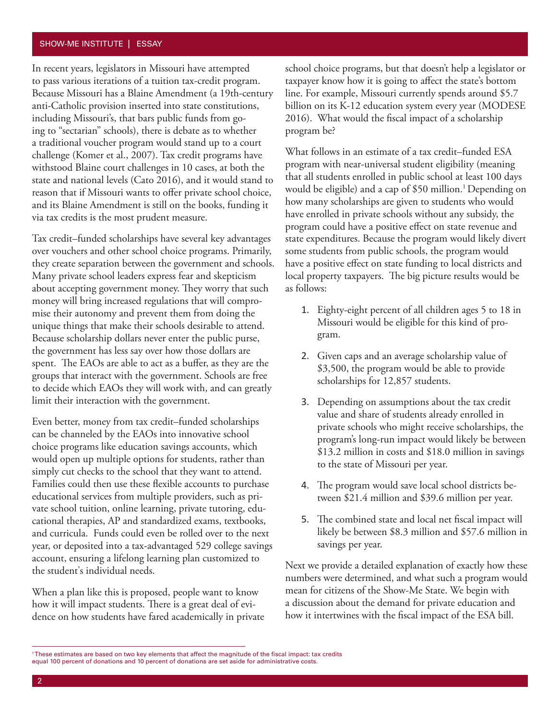#### SHOW-ME INSTITUTE | ESSAY

In recent years, legislators in Missouri have attempted to pass various iterations of a tuition tax-credit program. Because Missouri has a Blaine Amendment (a 19th-century anti-Catholic provision inserted into state constitutions, including Missouri's, that bars public funds from going to "sectarian" schools), there is debate as to whether a traditional voucher program would stand up to a court challenge (Komer et al., 2007). Tax credit programs have withstood Blaine court challenges in 10 cases, at both the state and national levels (Cato 2016), and it would stand to reason that if Missouri wants to offer private school choice, and its Blaine Amendment is still on the books, funding it via tax credits is the most prudent measure.

Tax credit–funded scholarships have several key advantages over vouchers and other school choice programs. Primarily, they create separation between the government and schools. Many private school leaders express fear and skepticism about accepting government money. They worry that such money will bring increased regulations that will compromise their autonomy and prevent them from doing the unique things that make their schools desirable to attend. Because scholarship dollars never enter the public purse, the government has less say over how those dollars are spent. The EAOs are able to act as a buffer, as they are the groups that interact with the government. Schools are free to decide which EAOs they will work with, and can greatly limit their interaction with the government.

Even better, money from tax credit–funded scholarships can be channeled by the EAOs into innovative school choice programs like education savings accounts, which would open up multiple options for students, rather than simply cut checks to the school that they want to attend. Families could then use these flexible accounts to purchase educational services from multiple providers, such as private school tuition, online learning, private tutoring, educational therapies, AP and standardized exams, textbooks, and curricula. Funds could even be rolled over to the next year, or deposited into a tax-advantaged 529 college savings account, ensuring a lifelong learning plan customized to the student's individual needs.

When a plan like this is proposed, people want to know how it will impact students. There is a great deal of evidence on how students have fared academically in private school choice programs, but that doesn't help a legislator or taxpayer know how it is going to affect the state's bottom line. For example, Missouri currently spends around \$5.7 billion on its K-12 education system every year (MODESE 2016). What would the fiscal impact of a scholarship program be?

What follows in an estimate of a tax credit–funded ESA program with near-universal student eligibility (meaning that all students enrolled in public school at least 100 days would be eligible) and a cap of \$50 million.<sup>1</sup> Depending on how many scholarships are given to students who would have enrolled in private schools without any subsidy, the program could have a positive effect on state revenue and state expenditures. Because the program would likely divert some students from public schools, the program would have a positive effect on state funding to local districts and local property taxpayers. The big picture results would be as follows:

- 1. Eighty-eight percent of all children ages 5 to 18 in Missouri would be eligible for this kind of program.
- 2. Given caps and an average scholarship value of \$3,500, the program would be able to provide scholarships for 12,857 students.
- 3. Depending on assumptions about the tax credit value and share of students already enrolled in private schools who might receive scholarships, the program's long-run impact would likely be between \$13.2 million in costs and \$18.0 million in savings to the state of Missouri per year.
- 4. The program would save local school districts between \$21.4 million and \$39.6 million per year.
- 5. The combined state and local net fiscal impact will likely be between \$8.3 million and \$57.6 million in savings per year.

Next we provide a detailed explanation of exactly how these numbers were determined, and what such a program would mean for citizens of the Show-Me State. We begin with a discussion about the demand for private education and how it intertwines with the fiscal impact of the ESA bill.

<sup>1</sup> These estimates are based on two key elements that affect the magnitude of the fiscal impact: tax credits equal 100 percent of donations and 10 percent of donations are set aside for administrative costs.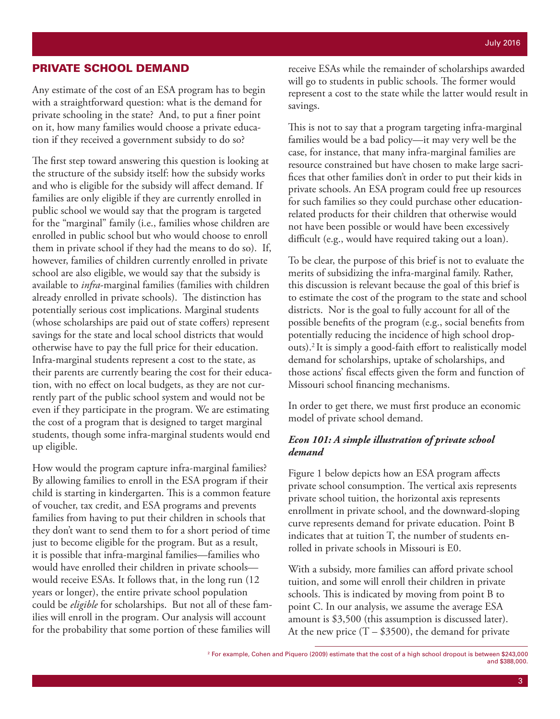#### PRIVATE SCHOOL DEMAND

Any estimate of the cost of an ESA program has to begin with a straightforward question: what is the demand for private schooling in the state? And, to put a finer point on it, how many families would choose a private education if they received a government subsidy to do so?

The first step toward answering this question is looking at the structure of the subsidy itself: how the subsidy works and who is eligible for the subsidy will affect demand. If families are only eligible if they are currently enrolled in public school we would say that the program is targeted for the "marginal" family (i.e., families whose children are enrolled in public school but who would choose to enroll them in private school if they had the means to do so). If, however, families of children currently enrolled in private school are also eligible, we would say that the subsidy is available to *infra*-marginal families (families with children already enrolled in private schools). The distinction has potentially serious cost implications. Marginal students (whose scholarships are paid out of state coffers) represent savings for the state and local school districts that would otherwise have to pay the full price for their education. Infra-marginal students represent a cost to the state, as their parents are currently bearing the cost for their education, with no effect on local budgets, as they are not currently part of the public school system and would not be even if they participate in the program. We are estimating the cost of a program that is designed to target marginal students, though some infra-marginal students would end up eligible.

How would the program capture infra-marginal families? By allowing families to enroll in the ESA program if their child is starting in kindergarten. This is a common feature of voucher, tax credit, and ESA programs and prevents families from having to put their children in schools that they don't want to send them to for a short period of time just to become eligible for the program. But as a result, it is possible that infra-marginal families—families who would have enrolled their children in private schools would receive ESAs. It follows that, in the long run (12 years or longer), the entire private school population could be *eligible* for scholarships. But not all of these families will enroll in the program. Our analysis will account for the probability that some portion of these families will

receive ESAs while the remainder of scholarships awarded will go to students in public schools. The former would represent a cost to the state while the latter would result in savings.

This is not to say that a program targeting infra-marginal families would be a bad policy—it may very well be the case, for instance, that many infra-marginal families are resource constrained but have chosen to make large sacrifices that other families don't in order to put their kids in private schools. An ESA program could free up resources for such families so they could purchase other educationrelated products for their children that otherwise would not have been possible or would have been excessively difficult (e.g., would have required taking out a loan).

To be clear, the purpose of this brief is not to evaluate the merits of subsidizing the infra-marginal family. Rather, this discussion is relevant because the goal of this brief is to estimate the cost of the program to the state and school districts. Nor is the goal to fully account for all of the possible benefits of the program (e.g., social benefits from potentially reducing the incidence of high school dropouts).2 It is simply a good-faith effort to realistically model demand for scholarships, uptake of scholarships, and those actions' fiscal effects given the form and function of Missouri school financing mechanisms.

In order to get there, we must first produce an economic model of private school demand.

#### *Econ 101: A simple illustration of private school demand*

Figure 1 below depicts how an ESA program affects private school consumption. The vertical axis represents private school tuition, the horizontal axis represents enrollment in private school, and the downward-sloping curve represents demand for private education. Point B indicates that at tuition T, the number of students enrolled in private schools in Missouri is E0.

With a subsidy, more families can afford private school tuition, and some will enroll their children in private schools. This is indicated by moving from point B to point C. In our analysis, we assume the average ESA amount is \$3,500 (this assumption is discussed later). At the new price  $(T - $3500)$ , the demand for private

<sup>2</sup> For example, Cohen and Piquero (2009) estimate that the cost of a high school dropout is between \$243,000 and \$388,000.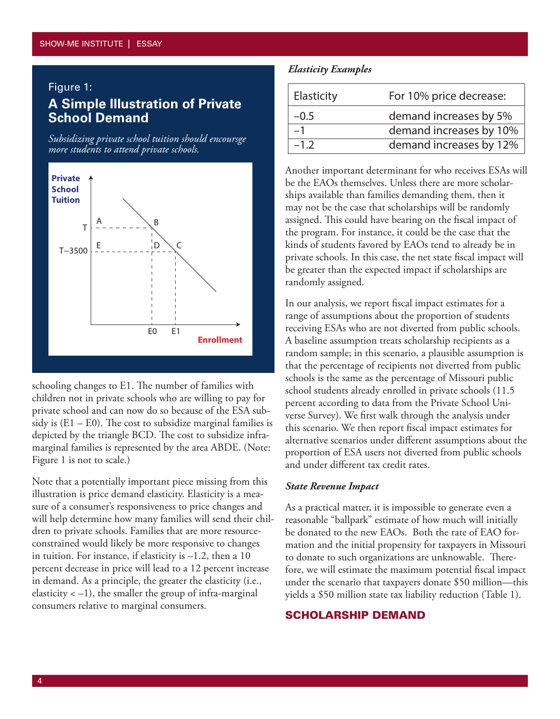#### Figure 1:

# **A Simple Illustration of Private School Demand**

*Subsidizing private school tuition should encoursge more students to attend private schools.*



schooling changes to E1. The number of families with children not in private schools who are willing to pay for private school and can now do so because of the ESA subsidy is  $(E1 - E0)$ . The cost to subsidize marginal families is depicted by the triangle BCD. The cost to subsidize inframarginal families is represented by the area ABDE. (Note: Figure 1 is not to scale.)

Note that a potentially important piece missing from this illustration is price demand elasticity. Elasticity is a measure of a consumer's responsiveness to price changes and will help determine how many families will send their children to private schools. Families that are more resourceconstrained would likely be more responsive to changes in tuition. For instance, if elasticity is  $-1.2$ , then a 10 percent decrease in price will lead to a 12 percent increase in demand. As a principle, the greater the elasticity (i.e., elasticity  $<-1$ ), the smaller the group of infra-marginal consumers relative to marginal consumers.

#### *Elasticity Examples*

| Elasticity | For 10% price decrease: |
|------------|-------------------------|
| $-0.5$     | demand increases by 5%  |
|            | demand increases by 10% |
| $-1.2$     | demand increases by 12% |

Another important determinant for who receives ESAs will be the EAOs themselves. Unless there are more scholarships available than families demanding them, then it may not be the case that scholarships will be randomly assigned. This could have bearing on the fiscal impact of the program. For instance, it could be the case that the kinds of students favored by EAOs tend to already be in private schools. In this case, the net state fiscal impact will be greater than the expected impact if scholarships are randomly assigned.

In our analysis, we report fiscal impact estimates for a range of assumptions about the proportion of students receiving ESAs who are not diverted from public schools. A baseline assumption treats scholarship recipients as a random sample; in this scenario, a plausible assumption is that the percentage of recipients not diverted from public schools is the same as the percentage of Missouri public school students already enrolled in private schools (11.5 percent according to data from the Private School Universe Survey). We first walk through the analysis under this scenario. We then report fiscal impact estimates for alternative scenarios under different assumptions about the proportion of ESA users not diverted from public schools and under different tax credit rates.

#### *State Revenue Impact*

As a practical matter, it is impossible to generate even a reasonable "ballpark" estimate of how much will initially be donated to the new EAOs. Both the rate of EAO formation and the initial propensity for taxpayers in Missouri to donate to such organizations are unknowable. Therefore, we will estimate the maximum potential fiscal impact under the scenario that taxpayers donate \$50 million—this yields a \$50 million state tax liability reduction (Table 1).

#### SCHOLARSHIP DEMAND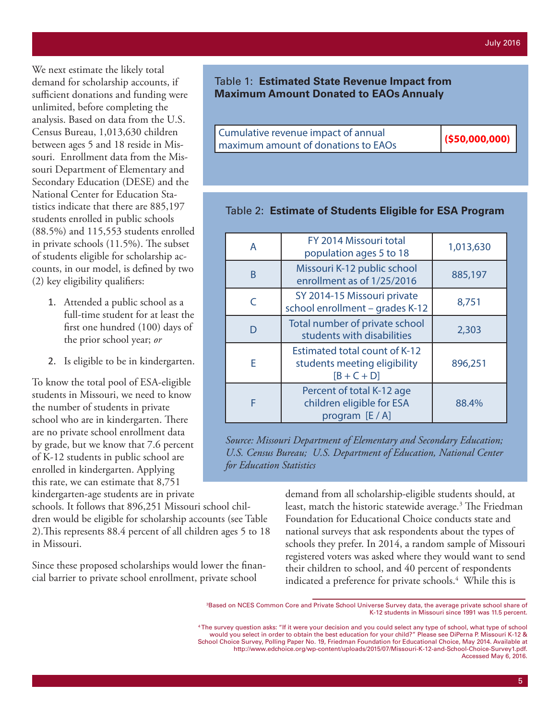We next estimate the likely total demand for scholarship accounts, if sufficient donations and funding were unlimited, before completing the analysis. Based on data from the U.S. Census Bureau, 1,013,630 children between ages 5 and 18 reside in Missouri. Enrollment data from the Missouri Department of Elementary and Secondary Education (DESE) and the National Center for Education Statistics indicate that there are 885,197 students enrolled in public schools (88.5%) and 115,553 students enrolled in private schools (11.5%). The subset of students eligible for scholarship accounts, in our model, is defined by two (2) key eligibility qualifiers:

- 1. Attended a public school as a full-time student for at least the first one hundred (100) days of the prior school year; *or*
- 2. Is eligible to be in kindergarten.

To know the total pool of ESA-eligible students in Missouri, we need to know the number of students in private school who are in kindergarten. There are no private school enrollment data by grade, but we know that 7.6 percent of K-12 students in public school are enrolled in kindergarten. Applying this rate, we can estimate that 8,751 kindergarten-age students are in private

schools. It follows that 896,251 Missouri school children would be eligible for scholarship accounts (see Table 2).This represents 88.4 percent of all children ages 5 to 18 in Missouri.

Since these proposed scholarships would lower the financial barrier to private school enrollment, private school

|  | Table 1: Estimated State Revenue Impact from  |
|--|-----------------------------------------------|
|  | <b>Maximum Amount Donated to EAOs Annualy</b> |

| maximum amount of donations to EAOs | Cumulative revenue impact of annual | $($ \$50,000,000) |
|-------------------------------------|-------------------------------------|-------------------|
|                                     |                                     |                   |

# Table 2: **Estimate of Students Eligible for ESA Program**

| A            | FY 2014 Missouri total<br>population ages 5 to 18                                     | 1,013,630 |
|--------------|---------------------------------------------------------------------------------------|-----------|
| <sub>R</sub> | Missouri K-12 public school<br>enrollment as of 1/25/2016                             | 885,197   |
| $\subset$    | SY 2014-15 Missouri private<br>school enrollment - grades K-12                        | 8,751     |
|              | Total number of private school<br>students with disabilities                          | 2,303     |
| E            | <b>Estimated total count of K-12</b><br>students meeting eligibility<br>$[B + C + D]$ | 896,251   |
| F            | Percent of total K-12 age<br>children eligible for ESA<br>program $[E/A]$             | 88.4%     |

*Source: Missouri Department of Elementary and Secondary Education; U.S. Census Bureau; U.S. Department of Education, National Center for Education Statistics*

> demand from all scholarship-eligible students should, at least, match the historic statewide average.<sup>3</sup> The Friedman Foundation for Educational Choice conducts state and national surveys that ask respondents about the types of schools they prefer. In 2014, a random sample of Missouri registered voters was asked where they would want to send their children to school, and 40 percent of respondents indicated a preference for private schools.<sup>4</sup> While this is

<sup>3</sup> Based on NCES Common Core and Private School Universe Survey data, the average private school share of K-12 students in Missouri since 1991 was 11.5 percent.

<sup>4</sup> The survey question asks: "If it were your decision and you could select any type of school, what type of school would you select in order to obtain the best education for your child?" Please see DiPerna P. Missouri K-12 & School Choice Survey, Polling Paper No. 19, Friedman Foundation for Educational Choice, May 2014. Available at http://www.edchoice.org/wp-content/uploads/2015/07/Missouri-K-12-and-School-Choice-Survey1.pdf. Accessed May 6, 2016.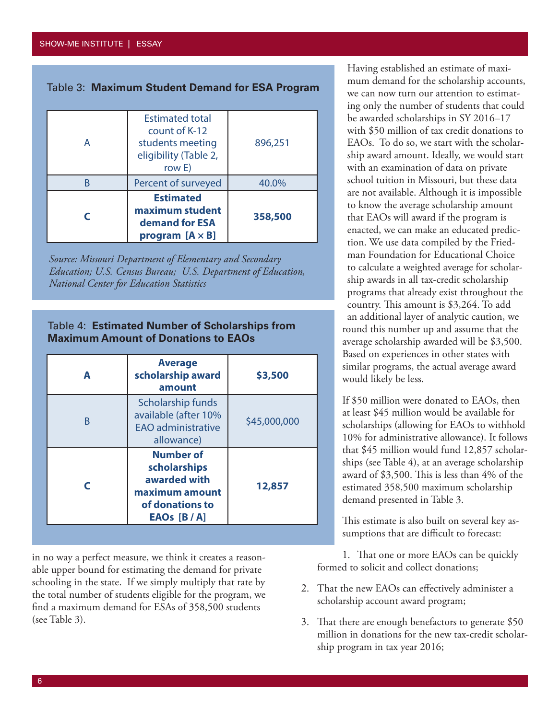Table 3: **Maximum Student Demand for ESA Program**

| <b>Estimated</b><br>maximum student<br>demand for ESA<br>program $[A \times B]$                | 358,500 |
|------------------------------------------------------------------------------------------------|---------|
| Percent of surveyed                                                                            | 40.0%   |
| <b>Estimated total</b><br>count of K-12<br>students meeting<br>eligibility (Table 2,<br>row E) | 896,251 |



#### Table 4: **Estimated Number of Scholarships from Maximum Amount of Donations to EAOs**

| A | <b>Average</b><br>scholarship award<br>amount                                                           | \$3,500      |
|---|---------------------------------------------------------------------------------------------------------|--------------|
| B | Scholarship funds<br>available (after 10%<br><b>EAO</b> administrative<br>allowance)                    | \$45,000,000 |
|   | <b>Number of</b><br>scholarships<br>awarded with<br>maximum amount<br>of donations to<br>EAOs $[B / A]$ | 12,857       |

in no way a perfect measure, we think it creates a reasonable upper bound for estimating the demand for private schooling in the state. If we simply multiply that rate by the total number of students eligible for the program, we find a maximum demand for ESAs of 358,500 students (see Table 3).

Having established an estimate of maximum demand for the scholarship accounts, we can now turn our attention to estimating only the number of students that could be awarded scholarships in SY 2016–17 with \$50 million of tax credit donations to EAOs. To do so, we start with the scholarship award amount. Ideally, we would start with an examination of data on private school tuition in Missouri, but these data are not available. Although it is impossible to know the average scholarship amount that EAOs will award if the program is enacted, we can make an educated prediction. We use data compiled by the Friedman Foundation for Educational Choice to calculate a weighted average for scholarship awards in all tax-credit scholarship programs that already exist throughout the country. This amount is \$3,264. To add an additional layer of analytic caution, we round this number up and assume that the average scholarship awarded will be \$3,500. Based on experiences in other states with similar programs, the actual average award would likely be less.

If \$50 million were donated to EAOs, then at least \$45 million would be available for scholarships (allowing for EAOs to withhold 10% for administrative allowance). It follows that \$45 million would fund 12,857 scholarships (see Table 4), at an average scholarship award of \$3,500. This is less than 4% of the estimated 358,500 maximum scholarship demand presented in Table 3.

This estimate is also built on several key assumptions that are difficult to forecast:

1. That one or more EAOs can be quickly formed to solicit and collect donations;

- 2. That the new EAOs can effectively administer a scholarship account award program;
- 3. That there are enough benefactors to generate \$50 million in donations for the new tax-credit scholarship program in tax year 2016;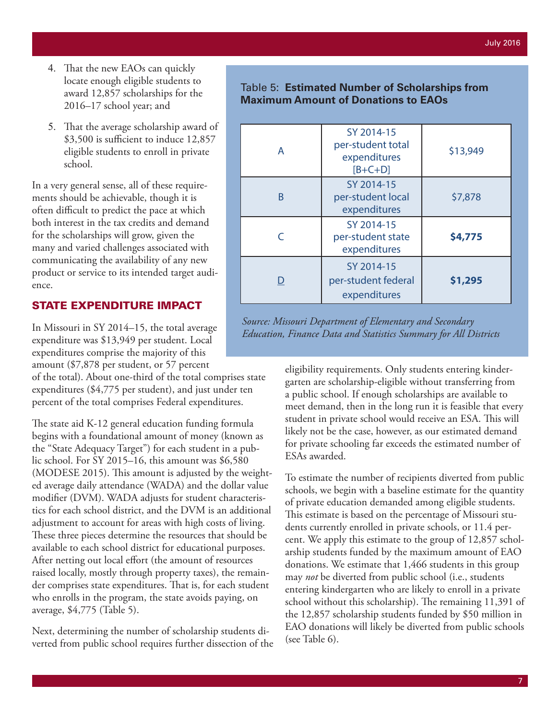- 4. That the new EAOs can quickly locate enough eligible students to award 12,857 scholarships for the 2016–17 school year; and
- 5. That the average scholarship award of \$3,500 is sufficient to induce 12,857 eligible students to enroll in private school.

In a very general sense, all of these requirements should be achievable, though it is often difficult to predict the pace at which both interest in the tax credits and demand for the scholarships will grow, given the many and varied challenges associated with communicating the availability of any new product or service to its intended target audience.

## STATE EXPENDITURE IMPACT

In Missouri in SY 2014–15, the total average expenditure was \$13,949 per student. Local expenditures comprise the majority of this amount (\$7,878 per student, or 57 percent

of the total). About one-third of the total comprises state expenditures (\$4,775 per student), and just under ten percent of the total comprises Federal expenditures.

The state aid K-12 general education funding formula begins with a foundational amount of money (known as the "State Adequacy Target") for each student in a public school. For SY 2015–16, this amount was \$6,580 (MODESE 2015). This amount is adjusted by the weighted average daily attendance (WADA) and the dollar value modifier (DVM). WADA adjusts for student characteristics for each school district, and the DVM is an additional adjustment to account for areas with high costs of living. These three pieces determine the resources that should be available to each school district for educational purposes. After netting out local effort (the amount of resources raised locally, mostly through property taxes), the remainder comprises state expenditures. That is, for each student who enrolls in the program, the state avoids paying, on average, \$4,775 (Table 5).

Next, determining the number of scholarship students diverted from public school requires further dissection of the

## Table 5: **Estimated Number of Scholarships from Maximum Amount of Donations to EAOs**

| A | SY 2014-15<br>per-student total<br>expenditures<br>$[B+C+D]$ | \$13,949 |
|---|--------------------------------------------------------------|----------|
| R | SY 2014-15<br>per-student local<br>expenditures              | \$7,878  |
|   | SY 2014-15<br>per-student state<br>expenditures              | \$4,775  |
|   | SY 2014-15<br>per-student federal<br>expenditures            | \$1,295  |

*Source: Missouri Department of Elementary and Secondary Education, Finance Data and Statistics Summary for All Districts*

> eligibility requirements. Only students entering kindergarten are scholarship-eligible without transferring from a public school. If enough scholarships are available to meet demand, then in the long run it is feasible that every student in private school would receive an ESA. This will likely not be the case, however, as our estimated demand for private schooling far exceeds the estimated number of ESAs awarded.

> To estimate the number of recipients diverted from public schools, we begin with a baseline estimate for the quantity of private education demanded among eligible students. This estimate is based on the percentage of Missouri students currently enrolled in private schools, or 11.4 percent. We apply this estimate to the group of 12,857 scholarship students funded by the maximum amount of EAO donations. We estimate that 1,466 students in this group may *not* be diverted from public school (i.e., students entering kindergarten who are likely to enroll in a private school without this scholarship). The remaining 11,391 of the 12,857 scholarship students funded by \$50 million in EAO donations will likely be diverted from public schools (see Table 6).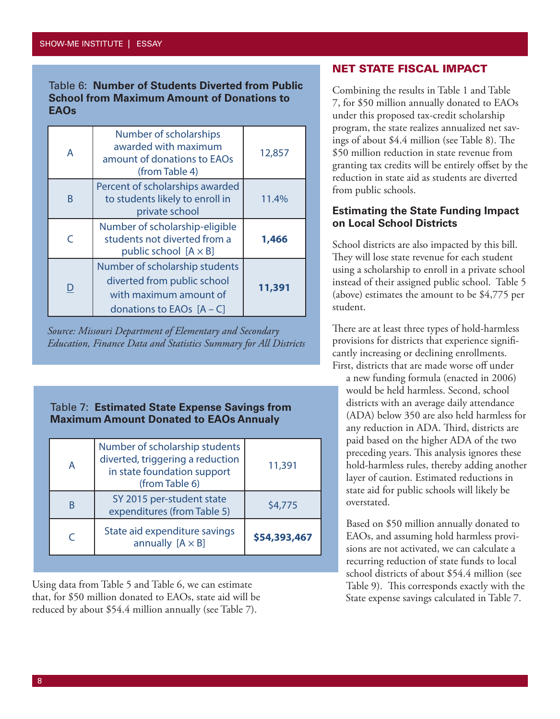#### Table 6: **Number of Students Diverted from Public School from Maximum Amount of Donations to EAOs**

| A | Number of scholarships<br>awarded with maximum<br>amount of donations to EAOs<br>(from Table 4)                        | 12,857 |
|---|------------------------------------------------------------------------------------------------------------------------|--------|
| B | Percent of scholarships awarded<br>to students likely to enroll in<br>private school                                   | 11.4%  |
|   | Number of scholarship-eligible<br>students not diverted from a<br>public school $[A \times B]$                         | 1,466  |
|   | Number of scholarship students<br>diverted from public school<br>with maximum amount of<br>donations to EAOs $[A - C]$ | 11,391 |

*Source: Missouri Department of Elementary and Secondary Education, Finance Data and Statistics Summary for All Districts*

## Table 7: **Estimated State Expense Savings from Maximum Amount Donated to EAOs Annualy**

| A | Number of scholarship students<br>diverted, triggering a reduction<br>in state foundation support<br>(from Table 6) | 11,391       |
|---|---------------------------------------------------------------------------------------------------------------------|--------------|
| R | SY 2015 per-student state<br>expenditures (from Table 5)                                                            | \$4,775      |
|   | State aid expenditure savings<br>annually $[A \times B]$                                                            | \$54,393,467 |

Using data from Table 5 and Table 6, we can estimate that, for \$50 million donated to EAOs, state aid will be reduced by about \$54.4 million annually (see Table 7).

## NET STATE FISCAL IMPACT

Combining the results in Table 1 and Table 7, for \$50 million annually donated to EAOs under this proposed tax-credit scholarship program, the state realizes annualized net savings of about \$4.4 million (see Table 8). The \$50 million reduction in state revenue from granting tax credits will be entirely offset by the reduction in state aid as students are diverted from public schools.

## **Estimating the State Funding Impact on Local School Districts**

School districts are also impacted by this bill. They will lose state revenue for each student using a scholarship to enroll in a private school instead of their assigned public school. Table 5 (above) estimates the amount to be \$4,775 per student.

There are at least three types of hold-harmless provisions for districts that experience significantly increasing or declining enrollments. First, districts that are made worse off under

a new funding formula (enacted in 2006) would be held harmless. Second, school districts with an average daily attendance (ADA) below 350 are also held harmless for any reduction in ADA. Third, districts are paid based on the higher ADA of the two preceding years. This analysis ignores these hold-harmless rules, thereby adding another layer of caution. Estimated reductions in state aid for public schools will likely be overstated.

Based on \$50 million annually donated to EAOs, and assuming hold harmless provisions are not activated, we can calculate a recurring reduction of state funds to local school districts of about \$54.4 million (see Table 9). This corresponds exactly with the State expense savings calculated in Table 7.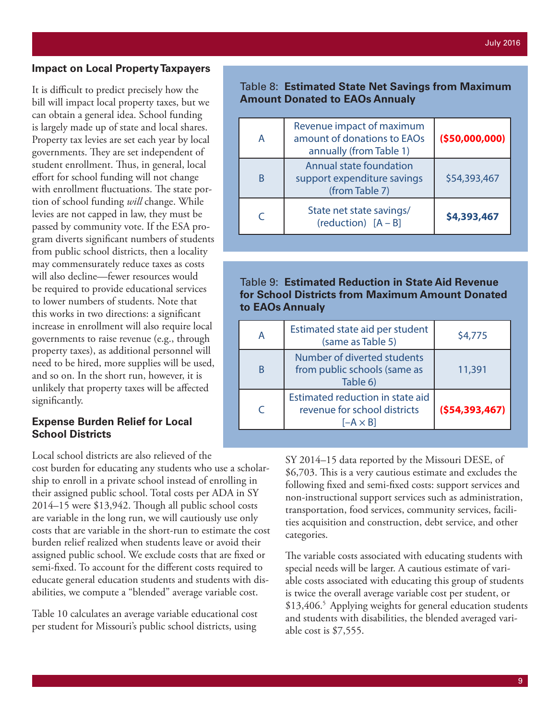#### **Impact on Local Property Taxpayers**

It is difficult to predict precisely how the bill will impact local property taxes, but we can obtain a general idea. School funding is largely made up of state and local shares. Property tax levies are set each year by local governments. They are set independent of student enrollment. Thus, in general, local effort for school funding will not change with enrollment fluctuations. The state portion of school funding *will* change. While levies are not capped in law, they must be passed by community vote. If the ESA program diverts significant numbers of students from public school districts, then a locality may commensurately reduce taxes as costs will also decline—fewer resources would be required to provide educational services to lower numbers of students. Note that this works in two directions: a significant increase in enrollment will also require local governments to raise revenue (e.g., through property taxes), as additional personnel will need to be hired, more supplies will be used, and so on. In the short run, however, it is unlikely that property taxes will be affected significantly.

#### **Expense Burden Relief for Local School Districts**

Local school districts are also relieved of the

cost burden for educating any students who use a scholarship to enroll in a private school instead of enrolling in their assigned public school. Total costs per ADA in SY 2014–15 were \$13,942. Though all public school costs are variable in the long run, we will cautiously use only costs that are variable in the short-run to estimate the cost burden relief realized when students leave or avoid their assigned public school. We exclude costs that are fixed or semi-fixed. To account for the different costs required to educate general education students and students with disabilities, we compute a "blended" average variable cost.

Table 10 calculates an average variable educational cost per student for Missouri's public school districts, using

#### Table 8: **Estimated State Net Savings from Maximum Amount Donated to EAOs Annualy**

| А | Revenue impact of maximum<br>amount of donations to EAOs<br>annually (from Table 1) | (550,000,000) |
|---|-------------------------------------------------------------------------------------|---------------|
| B | Annual state foundation<br>support expenditure savings<br>(from Table 7)            | \$54,393,467  |
| ⊂ | State net state savings/<br>(reduction) $[A - B]$                                   | \$4,393,467   |

## Table 9: **Estimated Reduction in State Aid Revenue for School Districts from Maximum Amount Donated to EAOs Annualy**

|   | Estimated state aid per student<br>(same as Table 5)                                | \$4,775         |
|---|-------------------------------------------------------------------------------------|-----------------|
| B | Number of diverted students<br>from public schools (same as<br>Table 6)             | 11,391          |
|   | Estimated reduction in state aid<br>revenue for school districts<br>$[-A \times B]$ | (554, 393, 467) |

SY 2014–15 data reported by the Missouri DESE, of \$6,703. This is a very cautious estimate and excludes the following fixed and semi-fixed costs: support services and non-instructional support services such as administration, transportation, food services, community services, facilities acquisition and construction, debt service, and other categories.

The variable costs associated with educating students with special needs will be larger. A cautious estimate of variable costs associated with educating this group of students is twice the overall average variable cost per student, or \$13,406.<sup>5</sup> Applying weights for general education students and students with disabilities, the blended averaged variable cost is \$7,555.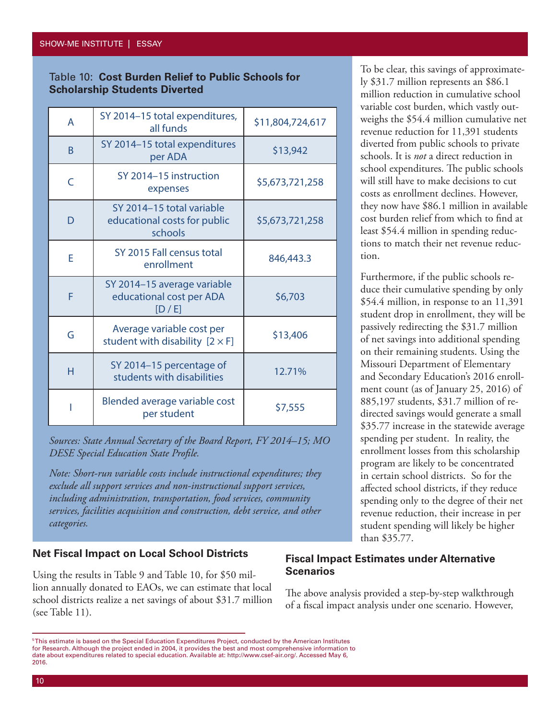#### Table 10: **Cost Burden Relief to Public Schools for Scholarship Students Diverted**

| A | SY 2014-15 total expenditures,<br>all funds                          | \$11,804,724,617 |
|---|----------------------------------------------------------------------|------------------|
| B | SY 2014-15 total expenditures<br>per ADA                             | \$13,942         |
| C | SY 2014-15 instruction<br>expenses                                   | \$5,673,721,258  |
| D | SY 2014-15 total variable<br>educational costs for public<br>schools | \$5,673,721,258  |
| E | SY 2015 Fall census total<br>enrollment                              | 846,443.3        |
| F | SY 2014-15 average variable<br>educational cost per ADA<br>[D/E]     | \$6,703          |
| G | Average variable cost per<br>student with disability $[2 \times F]$  | \$13,406         |
| Н | SY 2014-15 percentage of<br>students with disabilities               | 12.71%           |
|   | Blended average variable cost<br>per student                         | \$7,555          |

*Sources: State Annual Secretary of the Board Report, FY 2014–15; MO DESE Special Education State Profile.*

*Note: Short-run variable costs include instructional expenditures; they exclude all support services and non-instructional support services, including administration, transportation, food services, community services, facilities acquisition and construction, debt service, and other categories.*

#### **Net Fiscal Impact on Local School Districts**

Using the results in Table 9 and Table 10, for \$50 million annually donated to EAOs, we can estimate that local school districts realize a net savings of about \$31.7 million (see Table 11).

To be clear, this savings of approximately \$31.7 million represents an \$86.1 million reduction in cumulative school variable cost burden, which vastly outweighs the \$54.4 million cumulative net revenue reduction for 11,391 students diverted from public schools to private schools. It is *not* a direct reduction in school expenditures. The public schools will still have to make decisions to cut costs as enrollment declines. However, they now have \$86.1 million in available cost burden relief from which to find at least \$54.4 million in spending reductions to match their net revenue reduction.

Furthermore, if the public schools reduce their cumulative spending by only \$54.4 million, in response to an 11,391 student drop in enrollment, they will be passively redirecting the \$31.7 million of net savings into additional spending on their remaining students. Using the Missouri Department of Elementary and Secondary Education's 2016 enrollment count (as of January 25, 2016) of 885,197 students, \$31.7 million of redirected savings would generate a small \$35.77 increase in the statewide average spending per student. In reality, the enrollment losses from this scholarship program are likely to be concentrated in certain school districts. So for the affected school districts, if they reduce spending only to the degree of their net revenue reduction, their increase in per student spending will likely be higher than \$35.77.

## **Fiscal Impact Estimates under Alternative Scenarios**

The above analysis provided a step-by-step walkthrough of a fiscal impact analysis under one scenario. However,

<sup>5</sup> This estimate is based on the Special Education Expenditures Project, conducted by the American Institutes for Research. Although the project ended in 2004, it provides the best and most comprehensive information to date about expenditures related to special education. Available at: http://www.csef-air.org/. Accessed May 6, 2016.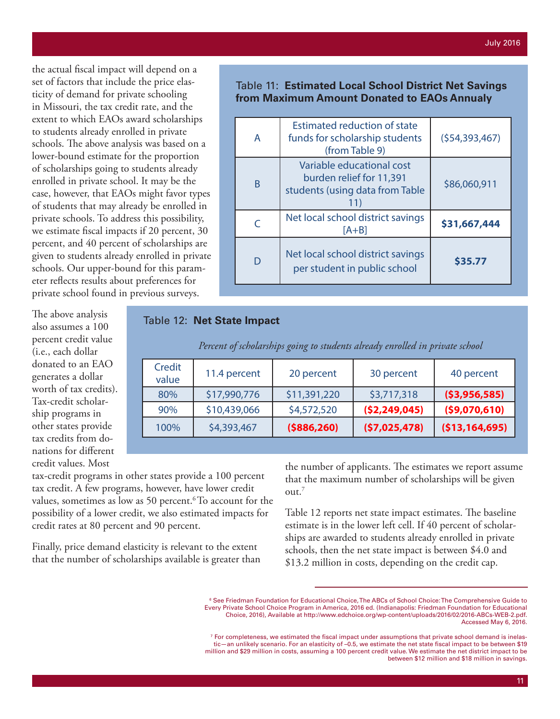the actual fiscal impact will depend on a set of factors that include the price elasticity of demand for private schooling in Missouri, the tax credit rate, and the extent to which EAOs award scholarships to students already enrolled in private schools. The above analysis was based on a lower-bound estimate for the proportion of scholarships going to students already enrolled in private school. It may be the case, however, that EAOs might favor types of students that may already be enrolled in private schools. To address this possibility, we estimate fiscal impacts if 20 percent, 30 percent, and 40 percent of scholarships are given to students already enrolled in private schools. Our upper-bound for this parameter reflects results about preferences for private school found in previous surveys.

Table 11: **Estimated Local School District Net Savings from Maximum Amount Donated to EAOs Annualy**

| A | <b>Estimated reduction of state</b><br>funds for scholarship students<br>(from Table 9)         | (554, 393, 467) |
|---|-------------------------------------------------------------------------------------------------|-----------------|
| B | Variable educational cost<br>burden relief for 11,391<br>students (using data from Table<br>11) | \$86,060,911    |
|   | Net local school district savings<br>$[A+B]$                                                    | \$31,667,444    |
| D | Net local school district savings<br>per student in public school                               | \$35.77         |

#### Table 12: **Net State Impact**

| Credit<br>value | 11.4 percent | 20 percent    | 30 percent     | 40 percent     |
|-----------------|--------------|---------------|----------------|----------------|
| 80%             | \$17,990,776 | \$11,391,220  | \$3,717,318    | ( \$3,956,585) |
| 90%             | \$10,439,066 | \$4,572,520   | (52, 249, 045) | (59,070,610)   |
| 100%            | \$4,393,467  | ( \$886, 260) | (57,025,478)   | (\$13,164,695) |

*Percent of scholarships going to students already enrolled in private school*

tax-credit programs in other states provide a 100 percent tax credit. A few programs, however, have lower credit values, sometimes as low as 50 percent.<sup>6</sup> To account for the possibility of a lower credit, we also estimated impacts for credit rates at 80 percent and 90 percent.

Finally, price demand elasticity is relevant to the extent that the number of scholarships available is greater than the number of applicants. The estimates we report assume that the maximum number of scholarships will be given out.<sup>7</sup>

Table 12 reports net state impact estimates. The baseline estimate is in the lower left cell. If 40 percent of scholarships are awarded to students already enrolled in private schools, then the net state impact is between \$4.0 and \$13.2 million in costs, depending on the credit cap.

also assumes a 100 percent credit value (i.e., each dollar donated to an EAO generates a dollar worth of tax credits). Tax-credit scholarship programs in other states provide tax credits from donations for different credit values. Most

The above analysis

<sup>6</sup> See Friedman Foundation for Educational Choice, The ABCs of School Choice: The Comprehensive Guide to Every Private School Choice Program in America, 2016 ed. (Indianapolis: Friedman Foundation for Educational Choice, 2016), Available at http://www.edchoice.org/wp-content/uploads/2016/02/2016-ABCs-WEB-2.pdf. Accessed May 6, 2016.

 $^7$  For completeness, we estimated the fiscal impact under assumptions that private school demand is inelastic—an unlikely scenario. For an elasticity of –0.5, we estimate the net state fiscal impact to be between \$19 million and \$29 million in costs, assuming a 100 percent credit value. We estimate the net district impact to be between \$12 million and \$18 million in savings.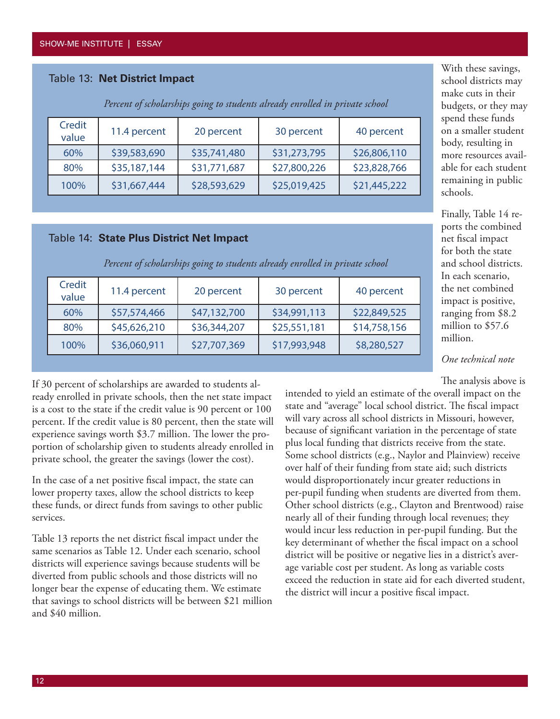## Table 13: **Net District Impact**

| Credit<br>value | 11.4 percent | 20 percent   | 30 percent   | 40 percent   |
|-----------------|--------------|--------------|--------------|--------------|
| 60%             | \$39,583,690 | \$35,741,480 | \$31,273,795 | \$26,806,110 |
| 80%             | \$35,187,144 | \$31,771,687 | \$27,800,226 | \$23,828,766 |
| 100%            | \$31,667,444 | \$28,593,629 | \$25,019,425 | \$21,445,222 |

*Percent of scholarships going to students already enrolled in private school*

#### Table 14: **State Plus District Net Impact**

| Credit<br>value | 11.4 percent | 20 percent   | 30 percent   | 40 percent   |
|-----------------|--------------|--------------|--------------|--------------|
| 60%             | \$57,574,466 | \$47,132,700 | \$34,991,113 | \$22,849,525 |
| 80%             | \$45,626,210 | \$36,344,207 | \$25,551,181 | \$14,758,156 |
| 100%            | \$36,060,911 | \$27,707,369 | \$17,993,948 | \$8,280,527  |

*Percent of scholarships going to students already enrolled in private school*

With these savings, school districts may make cuts in their budgets, or they may spend these funds on a smaller student body, resulting in more resources available for each student remaining in public schools.

Finally, Table 14 reports the combined net fiscal impact for both the state and school districts. In each scenario, the net combined impact is positive, ranging from \$8.2 million to \$57.6 million.

*One technical note*

The analysis above is

If 30 percent of scholarships are awarded to students already enrolled in private schools, then the net state impact is a cost to the state if the credit value is 90 percent or 100 percent. If the credit value is 80 percent, then the state will experience savings worth \$3.7 million. The lower the proportion of scholarship given to students already enrolled in private school, the greater the savings (lower the cost).

In the case of a net positive fiscal impact, the state can lower property taxes, allow the school districts to keep these funds, or direct funds from savings to other public services.

Table 13 reports the net district fiscal impact under the same scenarios as Table 12. Under each scenario, school districts will experience savings because students will be diverted from public schools and those districts will no longer bear the expense of educating them. We estimate that savings to school districts will be between \$21 million and \$40 million.

intended to yield an estimate of the overall impact on the state and "average" local school district. The fiscal impact will vary across all school districts in Missouri, however, because of significant variation in the percentage of state plus local funding that districts receive from the state. Some school districts (e.g., Naylor and Plainview) receive over half of their funding from state aid; such districts would disproportionately incur greater reductions in per-pupil funding when students are diverted from them. Other school districts (e.g., Clayton and Brentwood) raise nearly all of their funding through local revenues; they would incur less reduction in per-pupil funding. But the key determinant of whether the fiscal impact on a school district will be positive or negative lies in a district's average variable cost per student. As long as variable costs exceed the reduction in state aid for each diverted student, the district will incur a positive fiscal impact.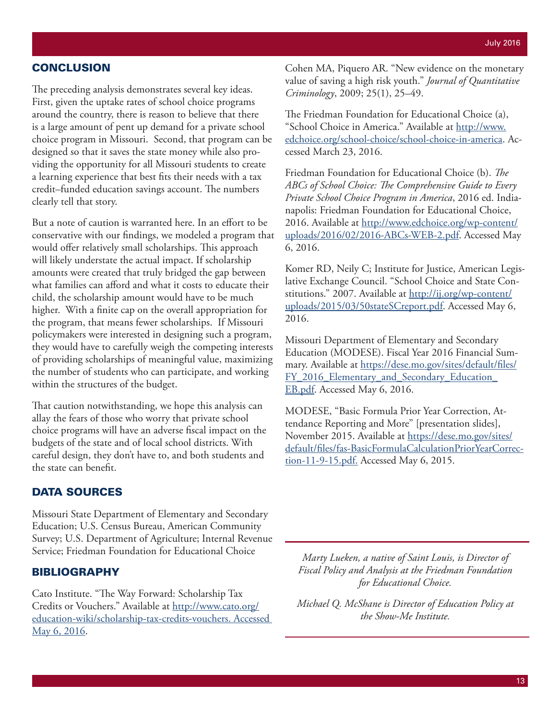## **CONCLUSION**

The preceding analysis demonstrates several key ideas. First, given the uptake rates of school choice programs around the country, there is reason to believe that there is a large amount of pent up demand for a private school choice program in Missouri. Second, that program can be designed so that it saves the state money while also providing the opportunity for all Missouri students to create a learning experience that best fits their needs with a tax credit–funded education savings account. The numbers clearly tell that story.

But a note of caution is warranted here. In an effort to be conservative with our findings, we modeled a program that would offer relatively small scholarships. This approach will likely understate the actual impact. If scholarship amounts were created that truly bridged the gap between what families can afford and what it costs to educate their child, the scholarship amount would have to be much higher. With a finite cap on the overall appropriation for the program, that means fewer scholarships. If Missouri policymakers were interested in designing such a program, they would have to carefully weigh the competing interests of providing scholarships of meaningful value, maximizing the number of students who can participate, and working within the structures of the budget.

That caution notwithstanding, we hope this analysis can allay the fears of those who worry that private school choice programs will have an adverse fiscal impact on the budgets of the state and of local school districts. With careful design, they don't have to, and both students and the state can benefit.

## DATA SOURCES

Missouri State Department of Elementary and Secondary Education; U.S. Census Bureau, American Community Survey; U.S. Department of Agriculture; Internal Revenue Service; Friedman Foundation for Educational Choice

#### BIBLIOGRAPHY

Cato Institute. "The Way Forward: Scholarship Tax Credits or Vouchers." Available at http://www.cato.org/ education-wiki/scholarship-tax-credits-vouchers. Accessed May 6, 2016.

Cohen MA, Piquero AR. "New evidence on the monetary value of saving a high risk youth." *Journal of Quantitative Criminology*, 2009; 25(1), 25–49.

The Friedman Foundation for Educational Choice (a), "School Choice in America." Available at http://www. edchoice.org/school-choice/school-choice-in-america. Accessed March 23, 2016.

Friedman Foundation for Educational Choice (b). *The ABCs of School Choice: The Comprehensive Guide to Every Private School Choice Program in America*, 2016 ed. Indianapolis: Friedman Foundation for Educational Choice, 2016. Available at http://www.edchoice.org/wp-content/ uploads/2016/02/2016-ABCs-WEB-2.pdf. Accessed May 6, 2016.

Komer RD, Neily C; Institute for Justice, American Legislative Exchange Council. "School Choice and State Constitutions." 2007. Available at http://ij.org/wp-content/ uploads/2015/03/50stateSCreport.pdf. Accessed May 6, 2016.

Missouri Department of Elementary and Secondary Education (MODESE). Fiscal Year 2016 Financial Summary. Available at https://dese.mo.gov/sites/default/files/ FY\_2016\_Elementary\_and\_Secondary\_Education\_ EB.pdf. Accessed May 6, 2016.

MODESE, "Basic Formula Prior Year Correction, Attendance Reporting and More" [presentation slides], November 2015. Available at https://dese.mo.gov/sites/ default/files/fas-BasicFormulaCalculationPriorYearCorrection-11-9-15.pdf. Accessed May 6, 2015.

*Marty Lueken, a native of Saint Louis, is Director of Fiscal Policy and Analysis at the Friedman Foundation for Educational Choice.*

*Michael Q. McShane is Director of Education Policy at the Show-Me Institute.*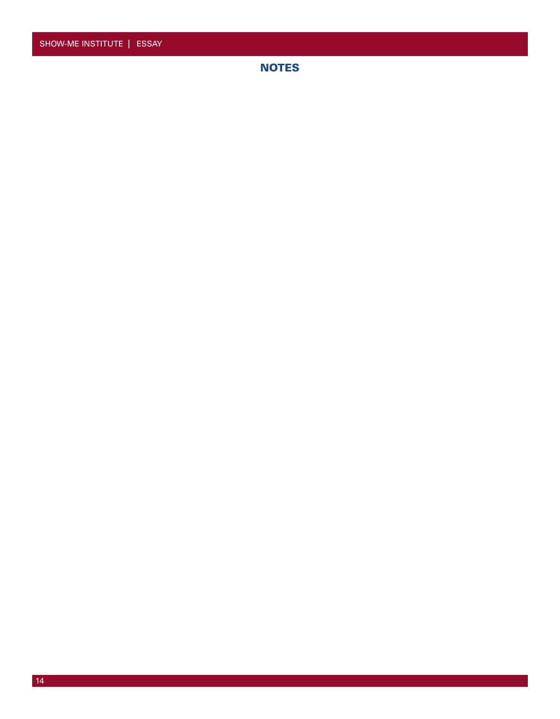**NOTES**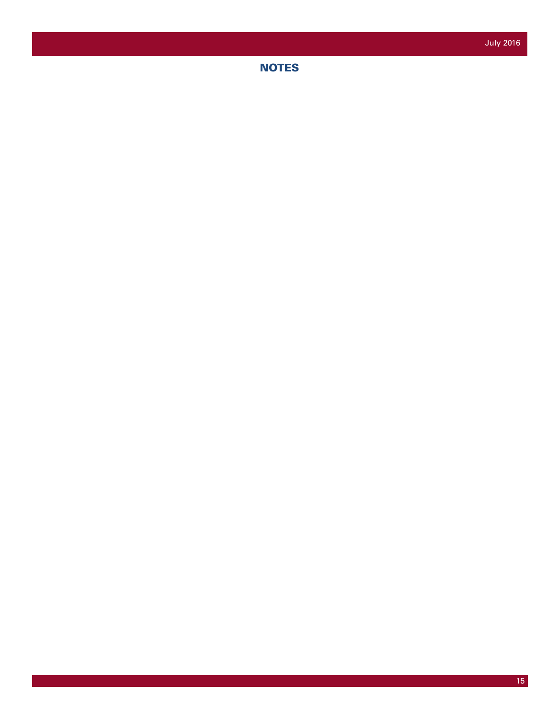**NOTES**